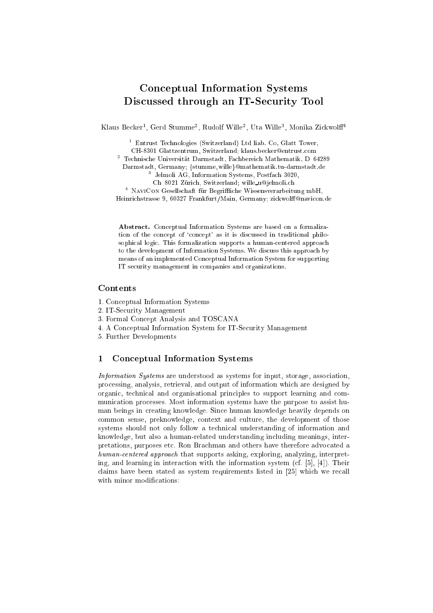# **Conceptual Information Systems** Discussed through an IT-Security Tool

Klaus Becker<sup>1</sup>, Gerd Stumme<sup>2</sup>, Rudolf Wille<sup>2</sup>, Uta Wille<sup>3</sup>, Monika Zickwolff<sup>4</sup>

<sup>1</sup> Entrust Technologies (Switzerland) Ltd liab. Co, Glatt Tower,

CH-8301 Glattzentrum, Switzerland; klaus.becker@entrust.com <sup>2</sup> Technische Universität Darmstadt, Fachbereich Mathematik, D-64289

Darmstadt, Germany; {stumme, wille}@mathematik.tu-darmstadt.de

<sup>3</sup> Jelmoli AG, Information Systems, Postfach 3020,

Ch-8021 Zürich, Switzerland; wille\_u@jelmoli.ch

<sup>4</sup> NAVICON Gesellschaft für Begriffliche Wissensverarbeitung mbH,

Heinrichstrasse 9, 60327 Frankfurt/Main, Germany; zickwolff@navicon.de

Abstract. Conceptual Information Systems are based on a formalization of the concept of 'concept' as it is discussed in traditional philosophical logic. This formalization supports a human-centered approach to the development of Information Systems. We discuss this approach by means of an implemented Conceptual Information System for supporting IT security management in companies and organizations.

# Contents

- 1. Conceptual Information Systems
- 2. IT-Security Management
- 3. Formal Concept Analysis and TOSCANA
- 4. A Conceptual Information System for IT-Security Management
- 5. Further Developments

#### $\mathbf{1}$ **Conceptual Information Systems**

*Information Systems* are understood as systems for input, storage, association, processing, analysis, retrieval, and output of information which are designed by organic, technical and organisational principles to support learning and communication processes. Most information systems have the purpose to assist human beings in creating knowledge. Since human knowledge heavily depends on common sense, preknowledge, context and culture, the development of those systems should not only follow a technical understanding of information and knowledge, but also a human-related understanding including meanings, interpretations, purposes etc. Ron Brachman and others have therefore advocated a human-centered approach that supports asking, exploring, analyzing, interpreting, and learning in interaction with the information system (cf. [5], [4]). Their claims have been stated as system requirements listed in [25] which we recall with minor modifications: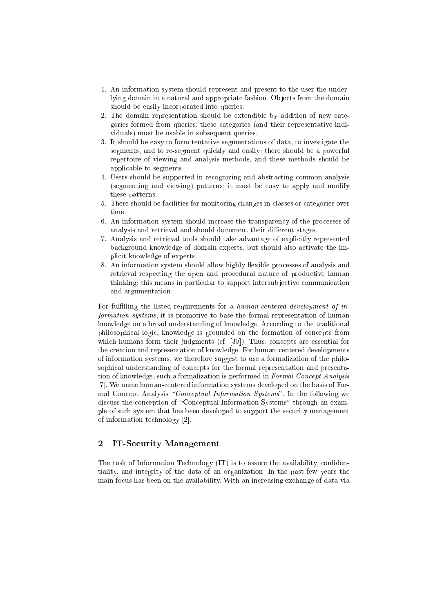- 1. An information system should represent and present to the user the underlying domain in a natural and appropriate fashion. Objects from the domain should be easily in
orporated into queries.
- 2. The domain representation should be extendible by addition of new ategories formed from queries; these ategories (and their representative individuals) must be usable in subsequent queries.
- 3. It should be easy to form tentative segmentations of data, to investigate the segments, and to re-segment qui
kly and easily; there should be a powerful repertoire of viewing and analysis methods, and these methods should be appli
able to segments.
- 4. Users should be supported in re
ognizing and abstra
ting ommon analysis (segmenting and viewing) patterns; it must be easy to apply and modify these patterns.
- 5. There should be fa
ilities for monitoring hanges in lasses or ategories over time.
- 6. An information system should in
rease the transparen
y of the pro
esses of analysis and retrieval and should document their different stages.
- 7. Analysis and retrieval tools should take advantage of expli
itly represented background knowledge of domain experts, but should also activate the impli
it knowledge of experts.
- 8. An information system should allow highly flexible processes of analysis and retrieval respecting the open and procedural nature of productive human thinking; this means in particular to support intersubjective communication and argumentation.

For fulfilling the listed requirements for a human-centered development of information systems, it is promotive to base the formal representation of human knowledge on a broad understanding of knowledge. According to the traditional philosophi
al logi
, knowledge is grounded on the formation of on
epts from which humans form their judgments (cf.  $[30]$ ). Thus, concepts are essential for the creation and representation of knowledge. For human-centered developments of information systems, we therefore suggest to use a formalization of the philosophical understanding of concepts for the formal representation and presentation of knowledge; such a formalization is performed in Formal Concept Analysis [7]. We name human-centered information systems developed on the basis of Formal Concept Analysis "Conceptual Information Systems". In the following we discuss the conception of "Conceptual Information Systems" through an example of su
h system that has been developed to support the se
urity management of information technology [2].

### $\overline{2}$ IT-Security Management

The task of Information Technology  $(IT)$  is to assure the availability, confidentiality, and integrity of the data of an organization. In the past few years the main focus has been on the availability. With an increasing exchange of data via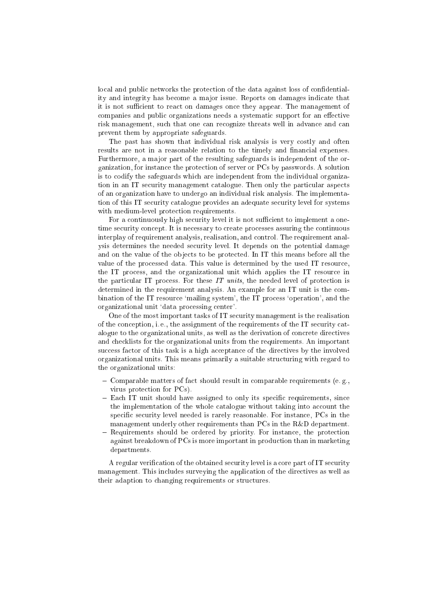local and public networks the protection of the data against loss of confidentiality and integrity has be
ome a ma jor issue. Reports on damages indi
ate that it is not sufficient to react on damages once they appear. The management of companies and public organizations needs a systematic support for an effective risk management, such that one can recognize threats well in advance and can prevent them by appropriate safeguards.

The past has shown that individual risk analysis is very costly and often results are not in a reasonable relation to the timely and financial expenses. Furthermore, a ma jor part of the resulting safeguards is independent of the organization, for instan
e the prote
tion of server or PCs by passwords. A solution is to odify the safeguards whi
h are independent from the individual organization in an IT security management catalogue. Then only the particular aspects of an organization have to undergo an individual risk analysis. The implementation of this IT security catalogue provides an adequate security level for systems with medium-level protection requirements.

For a continuously high security level it is not sufficient to implement a onetime security concept. It is necessary to create processes assuring the continuous interplay of requirement analysis, realisation, and ontrol. The requirement analysis determines the needed se
urity level. It depends on the potential damage and on the value of the objects to be protected. In IT this means before all the value of the pro
essed data. This value is determined by the used IT resour
e, the IT process, and the organizational unit which applies the IT resource in the particular IT process. For these  $IT$  units, the needed level of protection is determined in the requirement analysis. An example for an IT unit is the combination of the IT resource 'mailing system', the IT process 'operation', and the organizational unit `data pro
essing enter'.

One of the most important tasks of IT security management is the realisation of the on
eption, i. e., the assignment of the requirements of the IT se
urity atalogue to the organizational units, as well as the derivation of concrete directives and he
klists for the organizational units from the requirements. An important success factor of this task is a high acceptance of the directives by the involved organizational units. This means primarily a suitable stru
turing with regard to the organizational units:

- { Comparable matters of fa
t should result in omparable requirements (e. g., virus prote
tion for PCs).
- the showledge as the showledge of the single state of the second state of the second state of the second state of the implementation of the whole catalogue without taking into account the specific security level needed is rarely reasonable. For instance, PCs in the management underly other requirements than PCs in the R&D department.
- Requirements should be ordered by priority. For instance, the protection against breakdown of PCs is more important in production than in marketing departments.

A regular verification of the obtained security level is a core part of IT security management. This includes surveying the application of the directives as well as their adaption to changing requirements or structures.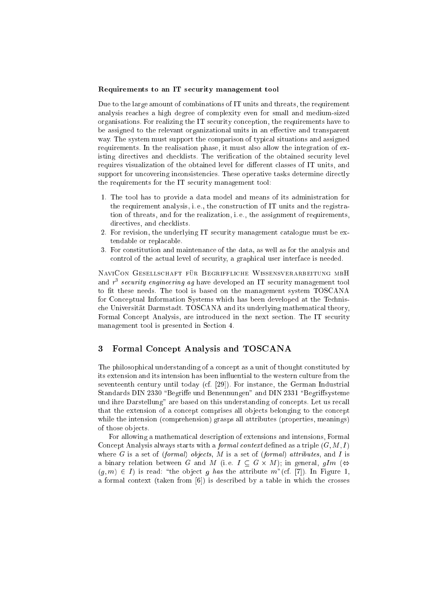### Requirements to an IT se
urity management tool

Due to the large amount of combinations of IT units and threats, the requirement analysis rea
hes a high degree of omplexity even for small and medium-sized organisations. For realizing the IT security conception, the requirements have to be assigned to the relevant organizational units in an effective and transparent way. The system must support the omparison of typi
al situations and assigned requirements. In the realisation phase, it must also allow the integration of existing directives and checklists. The verification of the obtained security level requires visualization of the obtained level for different classes of IT units, and support for uncovering inconsistencies. These operative tasks determine directly the requirements for the IT se
urity management tool:

- 1. The tool has to provide a data model and means of its administration for the requirement analysis, i. e., the onstru
tion of IT units and the registration of threats, and for the realization, i. e., the assignment of requirements, directives, and checklists.
- 2. For revision, the underlying IT se
urity management atalogue must be extendable or repla
able.
- 3. For onstitution and maintenan
e of the data, as well as for the analysis and control of the actual level of security, a graphical user interface is needed.

NAVICON GESELLSCHAFT FÜR BEGRIFFLICHE WISSENSVERARBEITUNG MBH and r <sup>3</sup> se
urity engineering ag have developed an IT se
urity management tool to fit these needs. The tool is based on the management system TOSCANA for Con
eptual Information Systems whi
h has been developed at the Te
hnis che Universität Darmstadt. TOSCANA and its underlying mathematical theory, Formal Concept Analysis, are introduced in the next section. The IT security management tool is presented in Section 4.

#### 3 Formal Concept Analysis and TOSCANA

The philosophical understanding of a concept as a unit of thought constituted by its extension and its intension has been influential to the western culture from the seventeenth century until today (cf. [29]). For instance, the German Industrial Standards DIN 2330 "Begriffe und Benennungen" and DIN 2331 "Begriffsysteme und ihre Darstellung" are based on this understanding of concepts. Let us recall that the extension of a concept comprises all objects belonging to the concept while the intension (comprehension) grasps all attributes (properties, meanings) of those objects.

For allowing a mathemati
al des
ription of extensions and intensions, Formal Concept Analysis always starts with a *formal context* defined as a triple  $(G, M, I)$ where  $G$  is a set of (formal) objects,  $M$  is a set of (formal) attributes, and  $I$  is a binary relation between G and M (i. e. I G - M); in general, gIm (,  $(g, m) \in I$  is read: "the object g has the attribute  $m$ " (cf. [7]). In Figure 1, a formal context (taken from [6]) is described by a table in which the crosses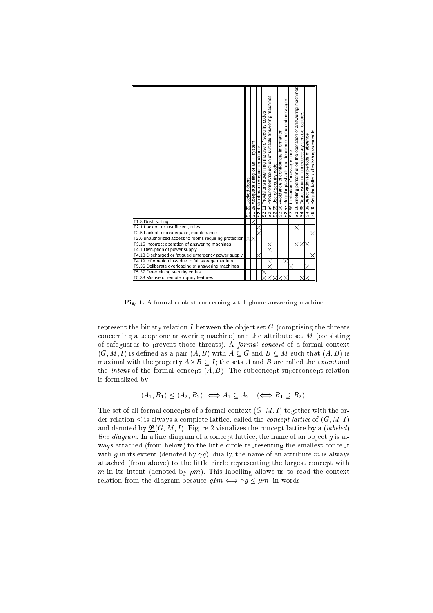|                                                        | S1.23 Locked doors | system<br>29 Adequate siting of an IT<br><u>ა</u> |  |  | S2.4 Maintenance/repair regulations<br>S2.11 Provisions governing the use of security codes<br>S2.55 Des of security code<br>S2.55 Use of security code<br>S2.57 Regular playback and deletion of recorded messages<br>S2.58 Limitation of me |  | S3.16 Briefing personnel on the operation of answering machines<br>S4.38 Deactivation of unneccessary service features<br>S4.39 Deactivation for periods of absence | S6.40 Regular battery checks/replacements |
|--------------------------------------------------------|--------------------|---------------------------------------------------|--|--|-----------------------------------------------------------------------------------------------------------------------------------------------------------------------------------------------------------------------------------------------|--|---------------------------------------------------------------------------------------------------------------------------------------------------------------------|-------------------------------------------|
| T1.8 Dust, soiling                                     |                    |                                                   |  |  |                                                                                                                                                                                                                                               |  |                                                                                                                                                                     |                                           |
| T2.1 Lack of, or insufficient, rules                   |                    |                                                   |  |  |                                                                                                                                                                                                                                               |  |                                                                                                                                                                     |                                           |
| T2.5 Lack of, or inadequate, maintenance               |                    |                                                   |  |  |                                                                                                                                                                                                                                               |  |                                                                                                                                                                     |                                           |
| T2.6 unauthorized access to rooms requiring protection |                    |                                                   |  |  |                                                                                                                                                                                                                                               |  |                                                                                                                                                                     |                                           |
| T3.15 Incorrect operation of answering machines        |                    |                                                   |  |  |                                                                                                                                                                                                                                               |  |                                                                                                                                                                     |                                           |
| T4.1 Disruption of power supply                        |                    |                                                   |  |  |                                                                                                                                                                                                                                               |  |                                                                                                                                                                     |                                           |
| T4.18 Discharged or fatigued emergency power supply    |                    |                                                   |  |  |                                                                                                                                                                                                                                               |  |                                                                                                                                                                     |                                           |
| T4.19 Information loss due to full storage medium      |                    |                                                   |  |  |                                                                                                                                                                                                                                               |  |                                                                                                                                                                     |                                           |
| T5.36 Deliberate overloading of answering machines     |                    |                                                   |  |  |                                                                                                                                                                                                                                               |  |                                                                                                                                                                     |                                           |
| T5.37 Determining security codes                       |                    |                                                   |  |  |                                                                                                                                                                                                                                               |  |                                                                                                                                                                     |                                           |
| T5.38 Misuse of remote inquiry features                |                    |                                                   |  |  |                                                                                                                                                                                                                                               |  |                                                                                                                                                                     |                                           |

Fig. 1. A formal context concerning a telephone answering machine

represent the binary relation  $I$  between the object set  $G$  (comprising the threats concerning a telephone answering machine) and the attribute set  $M$  (consisting of safeguards to prevent those threats). A *formal concept* of a formal context  $(G, M, I)$  is defined as a pair  $(A, B)$  with  $A \subseteq G$  and  $B \subseteq M$  such that  $(A, B)$  is maximal with the property A-B I ; the sets A and B are alled the extent and the *intent* of the formal concept  $(A, B)$ . The subconcept-superconcept-relation is formalized by

$$
(A_1, B_1) \le (A_2, B_2) \iff A_1 \subseteq A_2 \quad (\iff B_1 \supseteq B_2).
$$

The set of all formal concepts of a formal context  $(G, M, I)$  together with the order relation  $\leq$  is always a complete lattice, called the *concept lattice* of  $(G, M, I)$ and denoted by  $\underline{\mathfrak{B}}(G, M, I)$ . Figure 2 visualizes the concept lattice by a (*labeled*) line diagram. In a line diagram of a concept lattice, the name of an object  $q$  is always attached (from below) to the little circle representing the smallest concept with g in its extent (denoted by  $\gamma g$ ); dually, the name of an attribute m is always attached (from above) to the little circle representing the largest concept with m in its intent (denoted by  $\mu$ m). This labelling allows us to read the context relation from the diagram because  $gIm \iff \gamma g \leq \mu m$ , in words: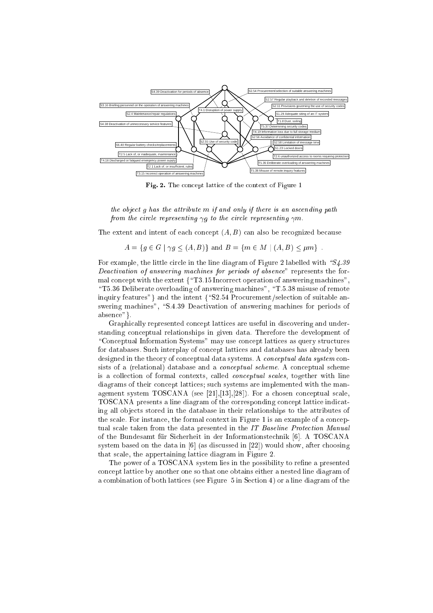

Fig. 2. The concept lattice of the context of Figure 1

the object g has the attribute m if and only if there is an ascending path from the circle representing  $\gamma q$  to the circle representing  $\gamma m$ .

The extent and intent of each concept  $(A, B)$  can also be recognized because

$$
A = \{ g \in G \mid \gamma g \le (A, B) \} \text{ and } B = \{ m \in M \mid (A, B) \le \mu m \} .
$$

For example, the little circle in the line diagram of Figure 2 labelled with  $\mathscr{S}_4$ .39 Deactivation of answering machines for periods of absence" represents the formal concept with the extent {"T3.15 Incorrect operation of answering machines", "T5.36 Deliberate overloading of answering machines", "T.5.38 misuse of remote inquiry features" and the intent  $\frac{82.54 \text{ Procurrent}}{\text{S2.54}}$  Procurement/selection of suitable answering machines", "S.4.39 Deactivation of answering machines for periods of absence" }.

Graphically represented concept lattices are useful in discovering and understanding on
eptual relationships in given data. Therefore the development of "Conceptual Information Systems" may use concept lattices as query structures for databases. Such interplay of concept lattices and databases has already been designed in the theory of conceptual data systems. A *conceptual data system* consists of a (relational) database and a *conceptual scheme*. A conceptual scheme is a collection of formal contexts, called *conceptual scales*, together with line diagrams of their concept lattices; such systems are implemented with the management system TOSCANA (see  $[21],[13],[28]$ ). For a chosen conceptual scale, TOSCANA presents a line diagram of the orresponding on
ept latti
e indi
ating all ob je
ts stored in the database in their relationships to the attributes of the scale. For instance, the formal context in Figure 1 is an example of a conceptual scale taken from the data presented in the IT Baseline Protection Manual of the Bundesamt für Sicherheit in der Informationstechnik [6]. A TOSCANA system based on the data in  $[6]$  (as discussed in  $[22]$ ) would show, after choosing that s
ale, the appertaining latti
e diagram in Figure 2.

The power of a TOSCANA system lies in the possibility to refine a presented on
ept latti
e by another one so that one obtains either a nested line diagram of a combination of both lattices (see Figure 5 in Section 4) or a line diagram of the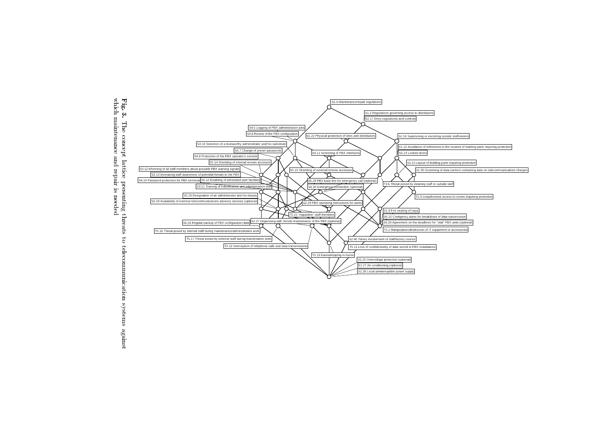

 $\mathbf{Fig.3.}$  The concept lattice presenting threats which maintenance and repair is needed whi
h Fig. 3. maintenan
e The on
ept and latti
e repair presenting is neededthreats are the complete  $\overline{\circ}$ to telecommunication systems tele
ommuni
ation systems sainst against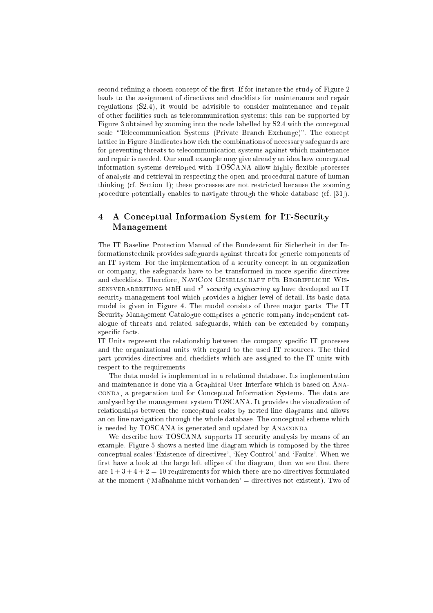second refining a chosen concept of the first. If for instance the study of Figure 2 leads to the assignment of directives and checklists for maintenance and repair regulations (S2.4), it would be advisible to consider maintenance and repair of other facilities such as telecommunication systems; this can be supported by Figure 3 obtained by zooming into the node labelled by S2.4 with the conceptual scale "Telecommunication Systems (Private Branch Exchange)". The concept lattice in Figure 3 indicates how rich the combinations of necessary safeguards are for preventing threats to telecommunication systems against which maintenance and repair is needed. Our small example may give already an idea how conceptual information systems developed with TOSCANA allow highly flexible processes of analysis and retrieval in respecting the open and procedural nature of human thinking (cf. Section 1); these processes are not restricted because the zooming procedure potentially enables to navigate through the whole database (cf. [31]).

### A Conceptual Information System for IT-Security  $\overline{4}$ Management

The IT Baseline Protection Manual of the Bundesamt für Sicherheit in der Informationstechnik provides safeguards against threats for generic components of an IT system. For the implementation of a security concept in an organization or company, the safeguards have to be transformed in more specific directives and checklists. Therefore, NAVICON GESELLSCHAFT FÜR BEGRIFFLICHE WIS-SENSVERARBEITUNG MBH and  $r^3$  security engineering ag have developed an IT security management tool which provides a higher level of detail. Its basic data model is given in Figure 4. The model consists of three major parts: The IT Security Management Catalogue comprises a generic company independent catalogue of threats and related safeguards, which can be extended by company specific facts.

IT Units represent the relationship between the company specific IT processes and the organizational units with regard to the used IT resources. The third part provides directives and checklists which are assigned to the IT units with respect to the requirements.

The data model is implemented in a relational database. Its implementation and maintenance is done via a Graphical User Interface which is based on ANA-CONDA, a preparation tool for Conceptual Information Systems. The data are analysed by the management system TOSCANA. It provides the visualization of relationships between the conceptual scales by nested line diagrams and allows an on-line navigation through the whole database. The conceptual scheme which is needed by TOSCANA is generated and updated by ANACONDA.

We describe how TOSCANA supports IT security analysis by means of an example. Figure 5 shows a nested line diagram which is composed by the three conceptual scales 'Existence of directives', 'Key Control' and 'Faults'. When we first have a look at the large left ellipse of the diagram, then we see that there are  $1+3+4+2=10$  requirements for which there are no directives formulated at the moment ('Maßnahme nicht vorhanden' = directives not existent). Two of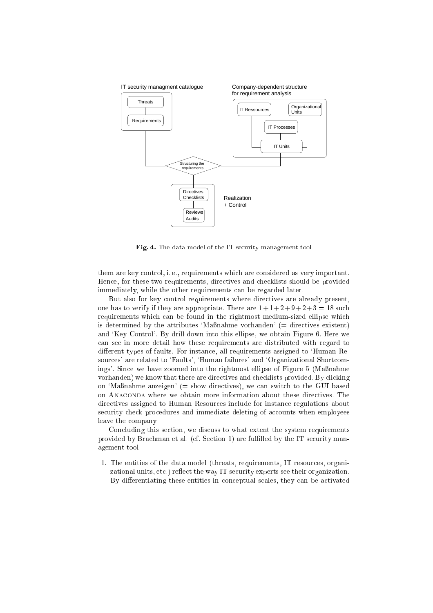

Fig. 4. The data model of the IT security management tool

them are key control, i.e., requirements which are considered as very important. Hence, for these two requirements, directives and checklists should be provided immediately, while the other requirements an be regarded later.

But also for key control requirements where directives are already present, one has to verify if they are appropriate. There are  $1+1+2+9+2+3=18$  such requirements which can be found in the rightmost medium-sized ellipse which is determined by the attributes 'Maßnahme vorhanden'  $($  = directives existent) and 'Key Control'. By drill-down into this ellipse, we obtain Figure 6. Here we an see in more detail how these requirements are distributed with regard to different types of faults. For instance, all requirements assigned to 'Human Resources' are related to 'Faults', 'Human failures' and 'Organizational Shortcomings'. Since we have zoomed into the rightmost ellipse of Figure 5 (Maßnahme vorhanden) we know that there are directives and checklists provided. By clicking on 'Maßnahme anzeigen'  $(=\text{show directories})$ , we can switch to the GUI based on ANACONDA where we obtain more information about these directives. The dire
tives assigned to Human Resour
es in
lude for instan
e regulations about security check procedures and immediate deleting of accounts when employees leave the ompany.

Concluding this section, we discuss to what extent the system requirements provided by Brachman et al. (cf. Section 1) are fulfilled by the IT security management tool.

1. The entities of the data model (threats, requirements, IT resour
es, organizational units, etc.) reflect the way IT security experts see their organization. By differentiating these entities in conceptual scales, they can be activated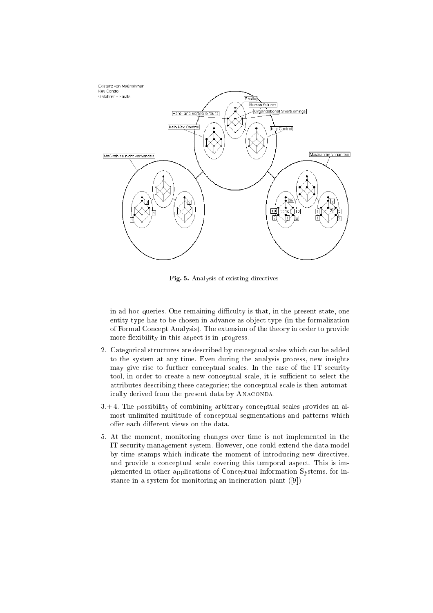

Fig. 5. Analysis of existing directives

in ad hoc queries. One remaining difficulty is that, in the present state, one entity type has to be chosen in advance as object type (in the formalization of Formal Con
ept Analysis). The extension of the theory in order to provide more flexibility in this aspect is in progress.

- 2. Categori
al stru
tures are des
ribed by on
eptual s
ales whi
h an be added to the system at any time. Even during the analysis pro
ess, new insights may give rise to further conceptual scales. In the case of the IT security tool, in order to create a new conceptual scale, it is sufficient to select the attributes des
ribing these ategories; the on
eptual s
ale is then automatically derived from the present data by ANACONDA.
- $3+4$ . The possibility of combining arbitrary conceptual scales provides an almost unlimited multitude of on
eptual segmentations and patterns whi
h offer each different views on the data.
- 5. At the moment, monitoring hanges over time is not implemented in the IT security management system. However, one could extend the data model by time stamps which indicate the moment of introducing new directives, and provide a conceptual scale covering this temporal aspect. This is implemented in other appli
ations of Con
eptual Information Systems, for instance in a system for monitoring an incineration plant ([9]).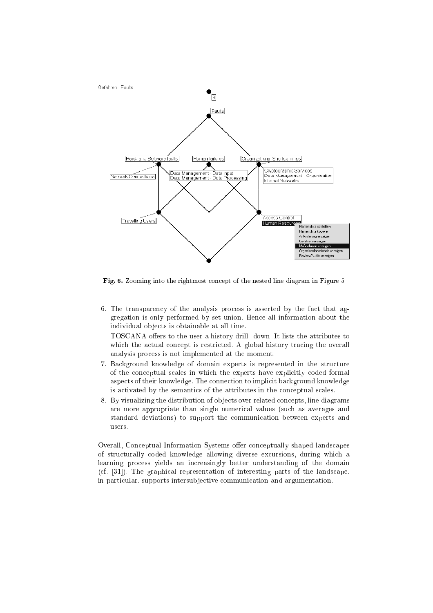

Fig. 6. Zooming into the rightmost concept of the nested line diagram in Figure 5

6. The transparency of the analysis process is asserted by the fact that aggregation is only performed by set union. Hen
e all information about the individual objects is obtainable at all time.

TOSCANA offers to the user a history drill-down. It lists the attributes to which the actual concept is restricted. A global history tracing the overall analysis pro
ess is not implemented at the moment.

- 7. Ba
kground knowledge of domain experts is represented in the stru
ture of the on
eptual s
ales in whi
h the experts have expli
itly oded formal aspects of their knowledge. The connection to implicit background knowledge is activated by the semantics of the attributes in the conceptual scales.
- 8. By visualizing the distribution of objects over related concepts, line diagrams are more appropriate than single numeri
al values (su
h as averages and standard deviations) to support the ommuni
ation between experts and users.

Overall, Conceptual Information Systems offer conceptually shaped landscapes of stru
turally oded knowledge allowing diverse ex
ursions, during whi
h a learning process yields an increasingly better understanding of the domain  $(cf. [31])$ . The graphical representation of interesting parts of the landscape, in particular, supports intersubjective communication and argumentation.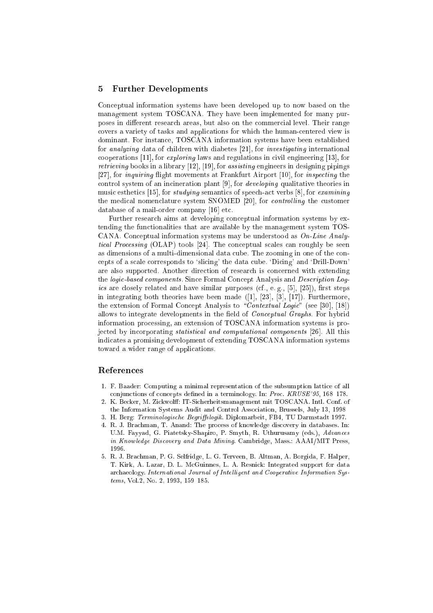## 5 Further Developments

Con
eptual information systems have been developed up to now based on the management system TOSCANA. They have been implemented for many purposes in different research areas, but also on the commercial level. Their range covers a variety of tasks and applications for which the human-centered view is dominant. For instan
e, TOSCANA information systems have been established for *analyzing* data of children with diabetes [21], for *investigating* international cooperations [11], for *exploring* laws and regulations in civil engineering [13], for *retrieving* books in a library  $[12]$ ,  $[19]$ , for *assisting* engineers in designing pipings [27], for *inquiring* flight movements at Frankfurt Airport [10], for *inspecting* the control system of an incineration plant  $[9]$ , for *developing* qualitative theories in music esthetics  $[15]$ , for *studying* semantics of speech-act verbs  $[8]$ , for *examining* the medical nomenclature system SNOMED [20], for *controlling* the customer database of a mail-order company  $[16]$  etc.

Further resear
h aims at developing on
eptual information systems by extending the functionalities that are available by the management system TOS-CANA. Conceptual information systems may be understood as  $On$ -Line Analytical Processing (OLAP) tools [24]. The conceptual scales can roughly be seen as dimensions of a multi-dimensional data cube. The zooming in one of the concepts of a scale corresponds to 'slicing' the data cube. 'Dicing' and 'Drill-Down' are also supported. Another dire
tion of resear
h is on
erned with extending the *logic-based components*. Since Formal Concept Analysis and *Description Log*ics are closely related and have similar purposes (cf., e.g.,  $[5]$ ,  $[25]$ ), first steps in integrating both theories have been made  $([1], [23], [3], [17])$ . Furthermore, the extension of Formal Concept Analysis to "Contextual Logic" (see [30], [18]) allows to integrate developments in the field of *Conceptual Graphs*. For hybrid information pro
essing, an extension of TOSCANA information systems is projected by incorporating statistical and computational components [26]. All this indi
ates a promising development of extending TOSCANA information systems toward a wider range of appli
ations.

# Referen
es

- 1. F. Baader: Computing a minimal representation of the subsumption latti
e of all conjunctions of concepts defined in a terminology. In: Proc. KRUSE'95, 168-178.
- 2. K. Becker, M. Zickwolff: IT-Sicherheitsmanagement mit TOSCANA. Intl. Conf. of the Information Systems Audit and Control Asso
iation, Brussels, July 13, 1998
- 3. H. Berg: Terminologische Begriffslogik. Diplomarbeit, FB4, TU Darmstadt 1997.
- 4. R. J. Bra
hman, T. Anand: The pro
ess of knowledge dis
overy in databases. In: U.M. Fayyad, G. Piatetsky-Shapiro, P. Smyth, R. Uthurusamy (eds.), Advan
es in Knowledge Discovery and Data Mining. Cambridge, Mass.: AAAI/MIT Press, 1996.
- 5. R. J. Bra
hman, P. G. Selfridge, L. G. Terveen, B. Altman, A. Borgida, F. Halper, T. Kirk, A. Lazar, D. L. M
Guinnes, L. A. Resni
k: Integrated support for data archaeology. International Journal of Intelligent and Cooperative Information Sys $tems$ , Vol.2, No. 2, 1993, 159-185.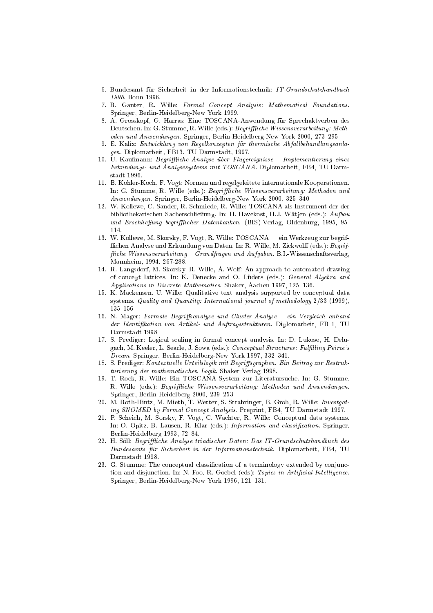- 6. Bundesamt für Sicherheit in der Informationstechnik: IT-Grundschutzhandbuch 1996. Bonn 1996.
- 7. B. Ganter, R. Wille: Formal Concept Analysis: Mathematical Foundations. Springer, Berlin-Heidelberg-New York 1999.
- 8. A. Grosskopf, G. Harras: Eine TOSCANA-Anwendung für Sprechaktverben des Deutschen. In: G. Stumme, R. Wille (eds.): Begriffliche Wissensverarbeitung: Methoden und Anwendungen. Springer, Berlin-Heidelberg-New York 2000, 273-295
- 9. E. Kalix: Entwicklung von Regelkonzepten für thermische Abfallbehandlungsanlagen. Diplomarbeit, FB13, TU Darmstadt, 1997.
- 10. U. Kaufmann: Begriffliche Analyse über Flugereignisse Implementierung eines Erkundungs- und Analysesystems mit TOSCANA. Diplomarbeit, FB4, TU Darmstadt  $1996$
- 11. B. Kohler-Koch, F. Vogt: Normen und regelgeleitete internationale Kooperationen. In: G. Stumme, R. Wille (eds.): Begriffliche Wissensverarbeitung: Methoden und Anwendungen. Springer, Berlin-Heidelberg-New York 2000, 325-340
- 12. W. Kollewe, C. Sander, R. Schmiede, R. Wille: TOSCANA als Instrument der der bibliothekarischen Sacherschließung. In: H. Havekost, H.J. Wätjen (eds.): Aufbau und Erschließung begrifflicher Datenbanken. (BIS)-Verlag, Oldenburg, 1995, 95-114.
- 13. W. Kollewe, M. Skorsky, F. Vogt, R. Wille: TOSCANA ein Werkzeug zur begrifflichen Analyse und Erkundung von Daten. In: R. Wille, M. Zickwolff (eds.): Begriffliche Wissensverarbeitung - Grundfragen und Aufgaben. B.I.-Wissenschaftsverlag, Mannheim, 1994, 267-288.
- 14. R. Langsdorf, M. Skorsky, R. Wille, A. Wolf: An approach to automated drawing of concept lattices. In: K. Denecke and O. Lüders (eds.): General Algebra and Applications in Discrete Mathematics. Shaker, Aachen 1997, 125-136.
- 15. K. Mackensen, U. Wille: Qualitative text analysis supported by conceptual data systems. Quality and Quantity: International journal of methodology 2/33 (1999),  $135 - 156$
- 16. N. Mager: Formale Begriffsanalyse und Cluster-Analyse ein Vergleich anhand der Identifikation von Artikel- und Auftragsstrukturen. Diplomarbeit, FB 1, TU Darmstadt 1998
- 17. S. Prediger: Logical scaling in formal concept analysis. In: D. Lukose, H. Delugach, M. Keeler, L. Searle, J. Sowa (eds.): Conceptual Structures: Fulfilling Peirce's Dream. Springer, Berlin-Heidelberg-New York 1997, 332-341.
- 18. S. Prediger: Kontextuelle Urteilslogik mit Begriffsgraphen. Ein Beitrag zur Restrukturierung der mathematischen Logik. Shaker Verlag 1998.
- 19. T. Rock, R. Wille: Ein TOSCANA-System zur Literatursuche. In: G. Stumme, R. Wille (eds.): Begriffliche Wissensverarbeitung: Methoden und Anwendungen. Springer, Berlin-Heidelberg 2000, 239-253
- 20. M. Roth-Hintz, M. Mieth, T. Wetter, S. Strahringer, B. Groh, R. Wille: Investgating SNOMED by Formal Concept Analysis. Preprint, FB4, TU Darmstadt 1997.
- 21. P. Scheich, M. Sorsky, F. Vogt, C. Wachter, R. Wille: Conceptual data systems. In: O. Opitz, B. Lausen, R. Klar (eds.): Information and classification. Springer, Berlin-Heidelberg 1993, 72-84.
- 22. H. Söll: Begriffliche Analyse triadischer Daten: Das IT-Grundschutzhandbuch des Bundesamts für Sicherheit in der Informationstechnik. Diplomarbeit, FB4, TU Darmstadt 1998.
- 23. G. Stumme: The conceptual classification of a terminology extended by conjunction and disjunction. In: N. Foo, R. Goebel (eds): Topics in Artificial Intelligence. Springer, Berlin-Heidelberg-New York 1996, 121-131.